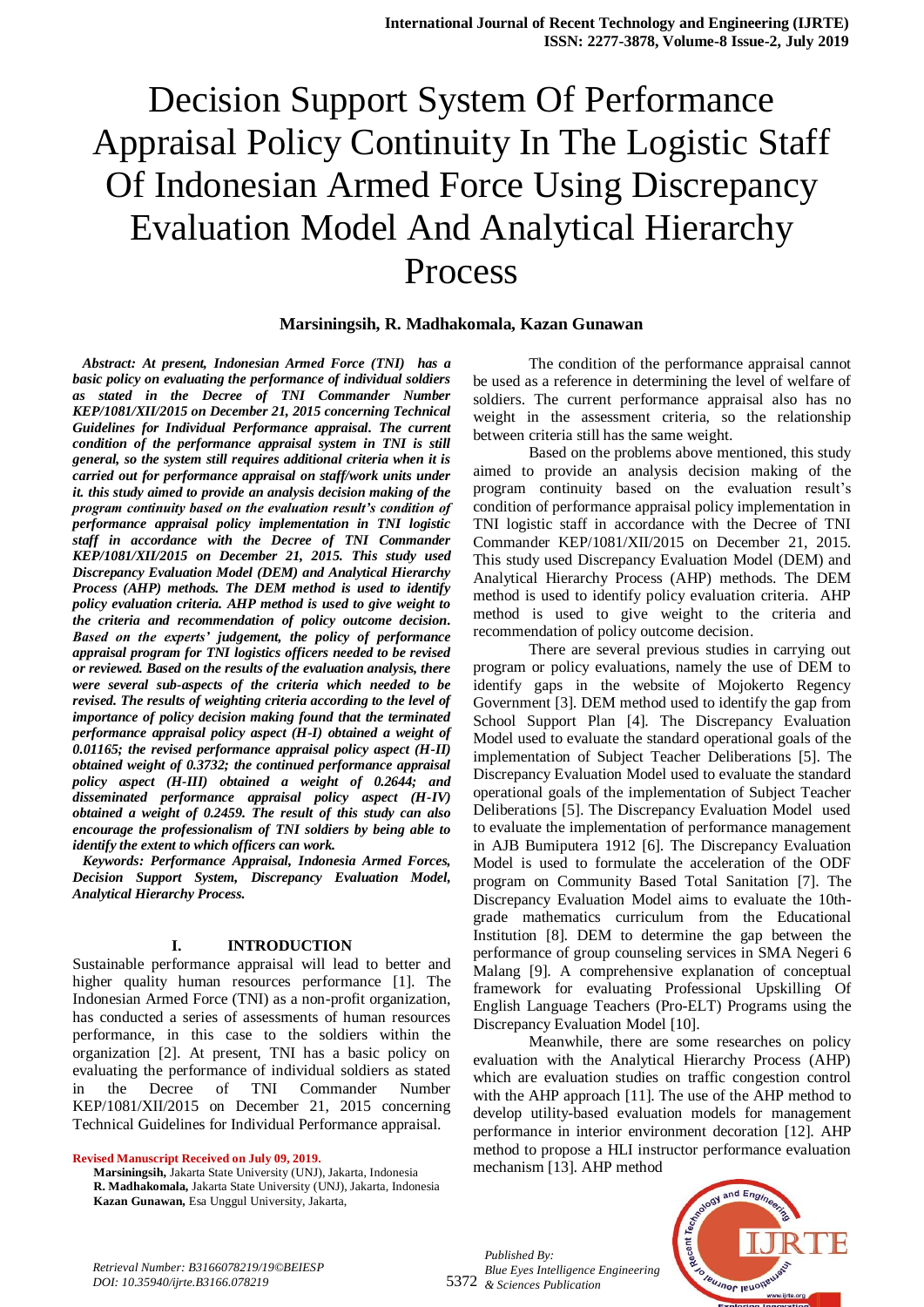## **Marsiningsih, R. Madhakomala, Kazan Gunawan**

 *Abstract: At present, Indonesian Armed Force (TNI) has a basic policy on evaluating the performance of individual soldiers as stated in the Decree of TNI Commander Number KEP/1081/XII/2015 on December 21, 2015 concerning Technical Guidelines for Individual Performance appraisal. The current condition of the performance appraisal system in TNI is still general, so the system still requires additional criteria when it is carried out for performance appraisal on staff/work units under it. this study aimed to provide an analysis decision making of the program continuity based on the evaluation result's condition of performance appraisal policy implementation in TNI logistic staff in accordance with the Decree of TNI Commander KEP/1081/XII/2015 on December 21, 2015. This study used Discrepancy Evaluation Model (DEM) and Analytical Hierarchy Process (AHP) methods. The DEM method is used to identify policy evaluation criteria. AHP method is used to give weight to the criteria and recommendation of policy outcome decision. Based on the experts' judgement, the policy of performance appraisal program for TNI logistics officers needed to be revised or reviewed. Based on the results of the evaluation analysis, there were several sub-aspects of the criteria which needed to be revised. The results of weighting criteria according to the level of importance of policy decision making found that the terminated performance appraisal policy aspect (H-I) obtained a weight of 0.01165; the revised performance appraisal policy aspect (H-II) obtained weight of 0.3732; the continued performance appraisal policy aspect (H-III) obtained a weight of 0.2644; and disseminated performance appraisal policy aspect (H-IV) obtained a weight of 0.2459. The result of this study can also encourage the professionalism of TNI soldiers by being able to identify the extent to which officers can work.*

 *Keywords: Performance Appraisal, Indonesia Armed Forces, Decision Support System, Discrepancy Evaluation Model, Analytical Hierarchy Process.*

## **I. INTRODUCTION**

Sustainable performance appraisal will lead to better and higher quality human resources performance [1]. The Indonesian Armed Force (TNI) as a non-profit organization, has conducted a series of assessments of human resources performance, in this case to the soldiers within the organization [2]. At present, TNI has a basic policy on evaluating the performance of individual soldiers as stated in the Decree of TNI Commander Number KEP/1081/XII/2015 on December 21, 2015 concerning Technical Guidelines for Individual Performance appraisal.

**Revised Manuscript Received on July 09, 2019.**

The condition of the performance appraisal cannot be used as a reference in determining the level of welfare of soldiers. The current performance appraisal also has no weight in the assessment criteria, so the relationship between criteria still has the same weight.

Based on the problems above mentioned, this study aimed to provide an analysis decision making of the program continuity based on the evaluation result's condition of performance appraisal policy implementation in TNI logistic staff in accordance with the Decree of TNI Commander KEP/1081/XII/2015 on December 21, 2015. This study used Discrepancy Evaluation Model (DEM) and Analytical Hierarchy Process (AHP) methods. The DEM method is used to identify policy evaluation criteria. AHP method is used to give weight to the criteria and recommendation of policy outcome decision.

There are several previous studies in carrying out program or policy evaluations, namely the use of DEM to identify gaps in the website of Mojokerto Regency Government [3]. DEM method used to identify the gap from School Support Plan [4]. The Discrepancy Evaluation Model used to evaluate the standard operational goals of the implementation of Subject Teacher Deliberations [5]. The Discrepancy Evaluation Model used to evaluate the standard operational goals of the implementation of Subject Teacher Deliberations [5]. The Discrepancy Evaluation Model used to evaluate the implementation of performance management in AJB Bumiputera 1912 [6]. The Discrepancy Evaluation Model is used to formulate the acceleration of the ODF program on Community Based Total Sanitation [7]. The Discrepancy Evaluation Model aims to evaluate the 10thgrade mathematics curriculum from the Educational Institution [8]. DEM to determine the gap between the performance of group counseling services in SMA Negeri 6 Malang [9]. A comprehensive explanation of conceptual framework for evaluating Professional Upskilling Of English Language Teachers (Pro-ELT) Programs using the Discrepancy Evaluation Model [10].

Meanwhile, there are some researches on policy evaluation with the Analytical Hierarchy Process (AHP) which are evaluation studies on traffic congestion control with the AHP approach [11]. The use of the AHP method to develop utility-based evaluation models for management performance in interior environment decoration [12]. AHP method to propose a HLI instructor performance evaluation mechanism [13]. AHP method



*Retrieval Number: B3166078219/19©BEIESP DOI: 10.35940/ijrte.B3166.078219*

5372 *& Sciences Publication Published By: Blue Eyes Intelligence Engineering*

**Marsiningsih,** Jakarta State University (UNJ), Jakarta, Indonesia **R. Madhakomala,** Jakarta State University (UNJ), Jakarta, Indonesia **Kazan Gunawan,** Esa Unggul University, Jakarta,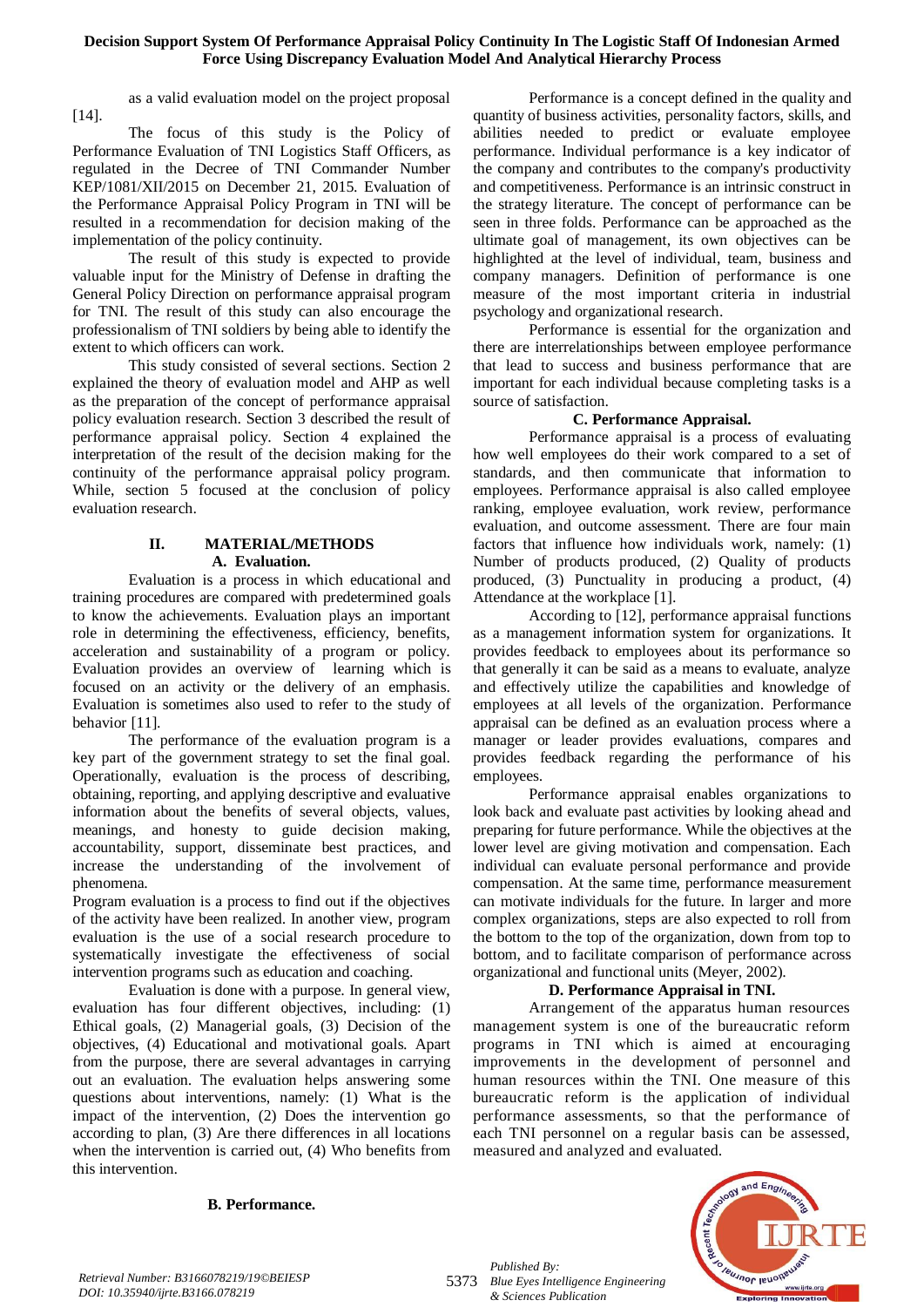as a valid evaluation model on the project proposal [14].

The focus of this study is the Policy of Performance Evaluation of TNI Logistics Staff Officers, as regulated in the Decree of TNI Commander Number KEP/1081/XII/2015 on December 21, 2015. Evaluation of the Performance Appraisal Policy Program in TNI will be resulted in a recommendation for decision making of the implementation of the policy continuity.

The result of this study is expected to provide valuable input for the Ministry of Defense in drafting the General Policy Direction on performance appraisal program for TNI. The result of this study can also encourage the professionalism of TNI soldiers by being able to identify the extent to which officers can work.

This study consisted of several sections. Section 2 explained the theory of evaluation model and AHP as well as the preparation of the concept of performance appraisal policy evaluation research. Section 3 described the result of performance appraisal policy. Section 4 explained the interpretation of the result of the decision making for the continuity of the performance appraisal policy program. While, section 5 focused at the conclusion of policy evaluation research.

# **II. MATERIAL/METHODS A. Evaluation.**

Evaluation is a process in which educational and training procedures are compared with predetermined goals to know the achievements. Evaluation plays an important role in determining the effectiveness, efficiency, benefits, acceleration and sustainability of a program or policy. Evaluation provides an overview of learning which is focused on an activity or the delivery of an emphasis. Evaluation is sometimes also used to refer to the study of behavior [11].

The performance of the evaluation program is a key part of the government strategy to set the final goal. Operationally, evaluation is the process of describing, obtaining, reporting, and applying descriptive and evaluative information about the benefits of several objects, values, meanings, and honesty to guide decision making, accountability, support, disseminate best practices, and increase the understanding of the involvement of phenomena.

Program evaluation is a process to find out if the objectives of the activity have been realized. In another view, program evaluation is the use of a social research procedure to systematically investigate the effectiveness of social intervention programs such as education and coaching.

Evaluation is done with a purpose. In general view, evaluation has four different objectives, including: (1) Ethical goals, (2) Managerial goals, (3) Decision of the objectives, (4) Educational and motivational goals. Apart from the purpose, there are several advantages in carrying out an evaluation. The evaluation helps answering some questions about interventions, namely: (1) What is the impact of the intervention, (2) Does the intervention go according to plan, (3) Are there differences in all locations when the intervention is carried out, (4) Who benefits from this intervention.

Performance is a concept defined in the quality and quantity of business activities, personality factors, skills, and abilities needed to predict or evaluate employee performance. Individual performance is a key indicator of the company and contributes to the company's productivity and competitiveness. Performance is an intrinsic construct in the strategy literature. The concept of performance can be seen in three folds. Performance can be approached as the ultimate goal of management, its own objectives can be highlighted at the level of individual, team, business and company managers. Definition of performance is one measure of the most important criteria in industrial psychology and organizational research.

Performance is essential for the organization and there are interrelationships between employee performance that lead to success and business performance that are important for each individual because completing tasks is a source of satisfaction.

# **C. Performance Appraisal.**

Performance appraisal is a process of evaluating how well employees do their work compared to a set of standards, and then communicate that information to employees. Performance appraisal is also called employee ranking, employee evaluation, work review, performance evaluation, and outcome assessment. There are four main factors that influence how individuals work, namely: (1) Number of products produced, (2) Quality of products produced, (3) Punctuality in producing a product, (4) Attendance at the workplace [1].

According to [12], performance appraisal functions as a management information system for organizations. It provides feedback to employees about its performance so that generally it can be said as a means to evaluate, analyze and effectively utilize the capabilities and knowledge of employees at all levels of the organization. Performance appraisal can be defined as an evaluation process where a manager or leader provides evaluations, compares and provides feedback regarding the performance of his employees.

Performance appraisal enables organizations to look back and evaluate past activities by looking ahead and preparing for future performance. While the objectives at the lower level are giving motivation and compensation. Each individual can evaluate personal performance and provide compensation. At the same time, performance measurement can motivate individuals for the future. In larger and more complex organizations, steps are also expected to roll from the bottom to the top of the organization, down from top to bottom, and to facilitate comparison of performance across organizational and functional units (Meyer, 2002).

# **D. Performance Appraisal in TNI.**

Arrangement of the apparatus human resources management system is one of the bureaucratic reform programs in TNI which is aimed at encouraging improvements in the development of personnel and human resources within the TNI. One measure of this bureaucratic reform is the application of individual performance assessments, so that the performance of each TNI personnel on a regular basis can be assessed, measured and analyzed and evaluated.



## **B. Performance.**

*Retrieval Number: B3166078219/19©BEIESP DOI: 10.35940/ijrte.B3166.078219*

5373 *Blue Eyes Intelligence Engineering Published By: & Sciences Publication*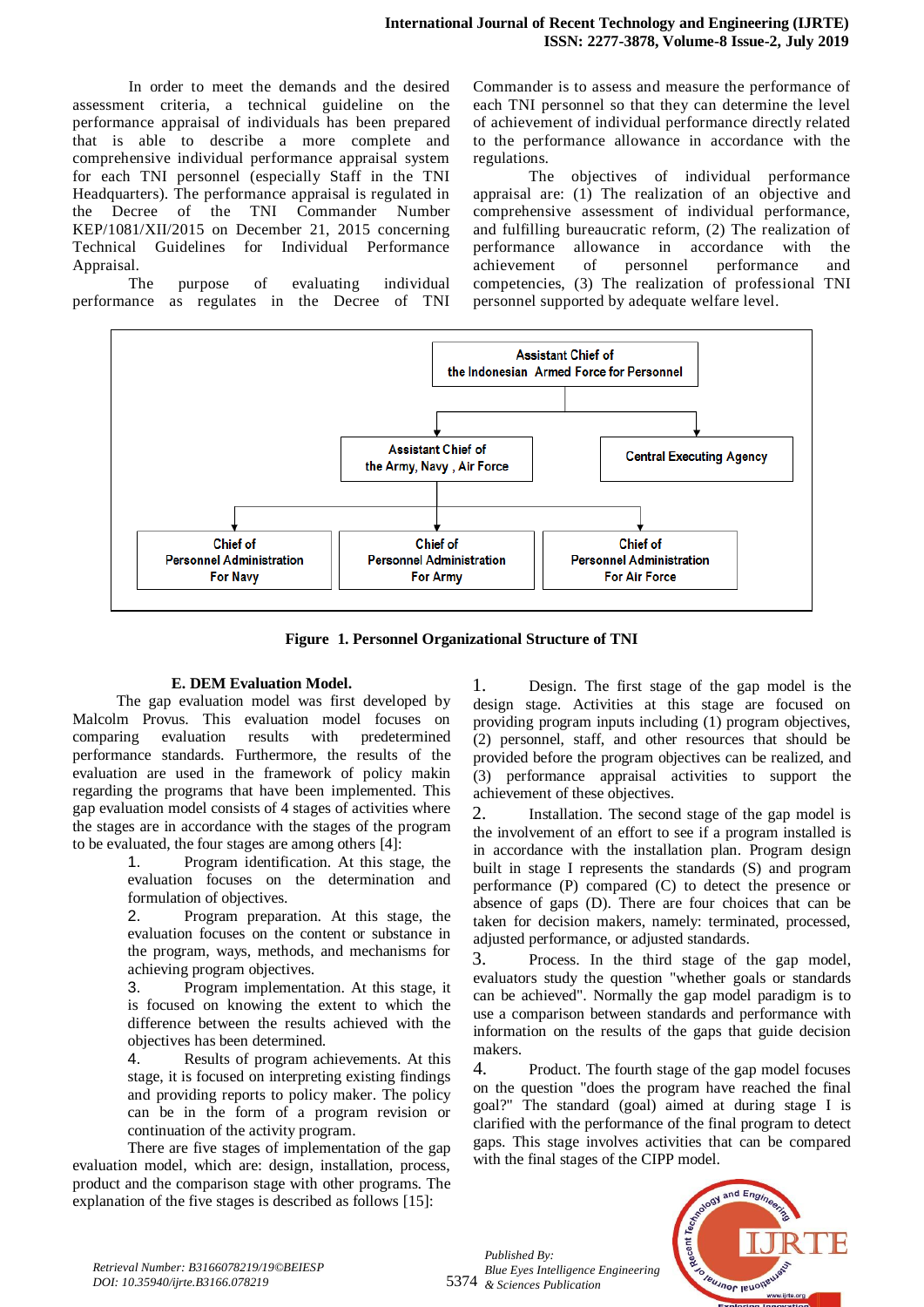In order to meet the demands and the desired assessment criteria, a technical guideline on the performance appraisal of individuals has been prepared that is able to describe a more complete and comprehensive individual performance appraisal system for each TNI personnel (especially Staff in the TNI Headquarters). The performance appraisal is regulated in the Decree of the TNI Commander Number KEP/1081/XII/2015 on December 21, 2015 concerning Technical Guidelines for Individual Performance Appraisal.

The purpose of evaluating individual performance as regulates in the Decree of TNI Commander is to assess and measure the performance of each TNI personnel so that they can determine the level of achievement of individual performance directly related to the performance allowance in accordance with the regulations.

The objectives of individual performance appraisal are: (1) The realization of an objective and comprehensive assessment of individual performance, and fulfilling bureaucratic reform, (2) The realization of performance allowance in accordance with the achievement of personnel performance and competencies, (3) The realization of professional TNI personnel supported by adequate welfare level.



**Figure 1. Personnel Organizational Structure of TNI**

# **E. DEM Evaluation Model.**

The gap evaluation model was first developed by Malcolm Provus. This evaluation model focuses on comparing evaluation results with predetermined performance standards. Furthermore, the results of the evaluation are used in the framework of policy makin regarding the programs that have been implemented. This gap evaluation model consists of 4 stages of activities where the stages are in accordance with the stages of the program to be evaluated, the four stages are among others [4]:

1. Program identification. At this stage, the evaluation focuses on the determination and formulation of objectives.

2. Program preparation. At this stage, the evaluation focuses on the content or substance in the program, ways, methods, and mechanisms for achieving program objectives.

3. Program implementation. At this stage, it is focused on knowing the extent to which the difference between the results achieved with the objectives has been determined.

4. Results of program achievements. At this stage, it is focused on interpreting existing findings and providing reports to policy maker. The policy can be in the form of a program revision or continuation of the activity program.

There are five stages of implementation of the gap evaluation model, which are: design, installation, process, product and the comparison stage with other programs. The explanation of the five stages is described as follows [15]:

1. Design. The first stage of the gap model is the design stage. Activities at this stage are focused on providing program inputs including (1) program objectives, (2) personnel, staff, and other resources that should be provided before the program objectives can be realized, and (3) performance appraisal activities to support the achievement of these objectives.

2. Installation. The second stage of the gap model is the involvement of an effort to see if a program installed is in accordance with the installation plan. Program design built in stage I represents the standards (S) and program performance (P) compared (C) to detect the presence or absence of gaps (D). There are four choices that can be taken for decision makers, namely: terminated, processed, adjusted performance, or adjusted standards.

3. Process. In the third stage of the gap model, evaluators study the question "whether goals or standards can be achieved". Normally the gap model paradigm is to use a comparison between standards and performance with information on the results of the gaps that guide decision makers.

4. Product. The fourth stage of the gap model focuses on the question "does the program have reached the final goal?" The standard (goal) aimed at during stage I is clarified with the performance of the final program to detect gaps. This stage involves activities that can be compared with the final stages of the CIPP model.



5374 *& Sciences Publication Published By: Blue Eyes Intelligence Engineering*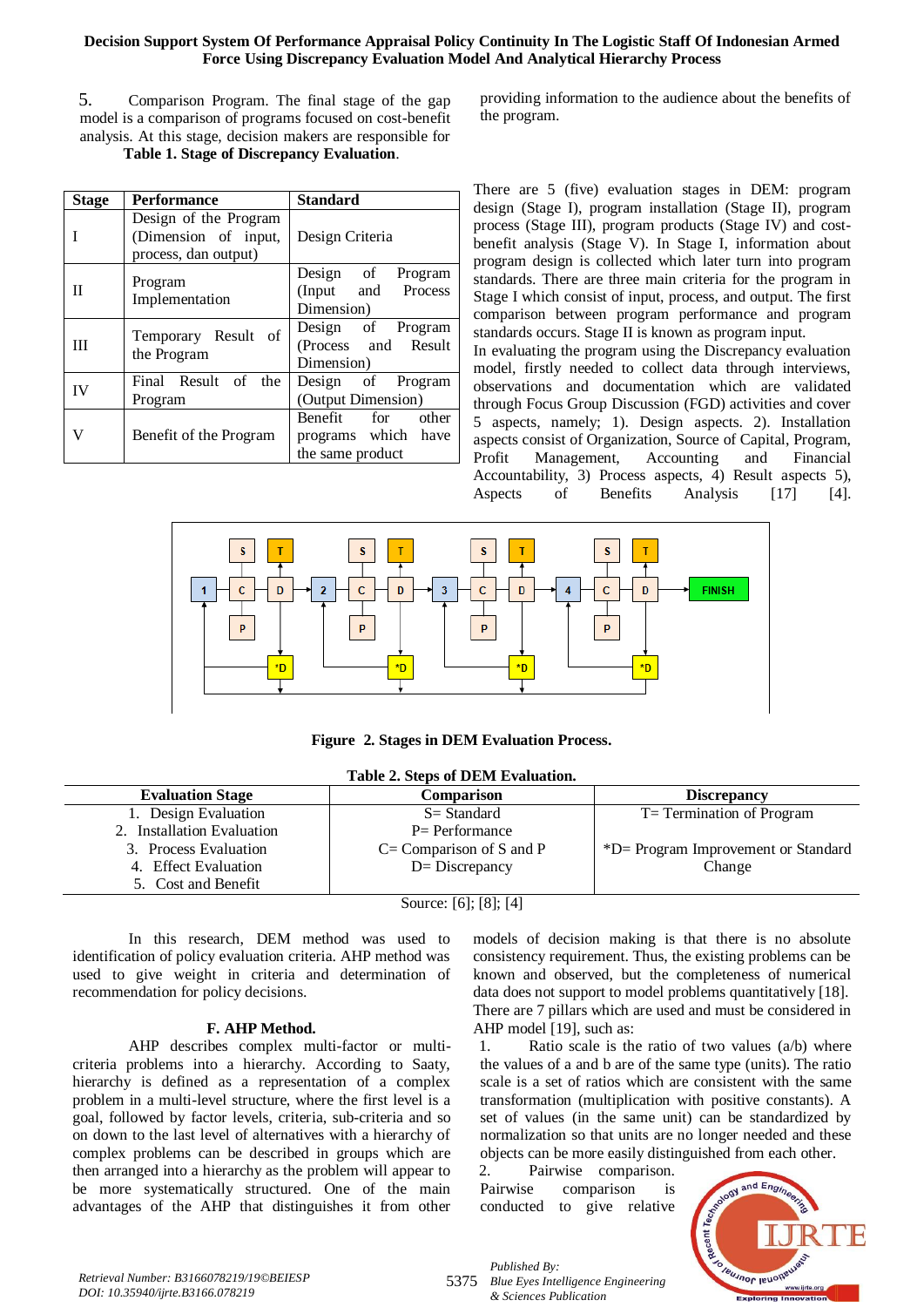5. Comparison Program. The final stage of the gap model is a comparison of programs focused on cost-benefit analysis. At this stage, decision makers are responsible for **Table 1. Stage of Discrepancy Evaluation**.

| <b>Stage</b> | <b>Performance</b>                                                    | <b>Standard</b>                                              |
|--------------|-----------------------------------------------------------------------|--------------------------------------------------------------|
|              | Design of the Program<br>(Dimension of input,<br>process, dan output) | Design Criteria                                              |
| П            | Program<br>Implementation                                             | Design of Program<br>(Input and Process<br>Dimension)        |
| Ш            | Temporary Result of<br>the Program                                    | Design of Program<br>(Process and Result<br>Dimension)       |
| <b>IV</b>    | Final Result of the<br>Program                                        | Design of Program<br>(Output Dimension)                      |
| V            | Benefit of the Program                                                | Benefit for other<br>programs which have<br>the same product |

providing information to the audience about the benefits of the program.

There are 5 (five) evaluation stages in DEM: program design (Stage I), program installation (Stage II), program process (Stage III), program products (Stage IV) and costbenefit analysis (Stage V). In Stage I, information about program design is collected which later turn into program standards. There are three main criteria for the program in Stage I which consist of input, process, and output. The first comparison between program performance and program standards occurs. Stage II is known as program input. In evaluating the program using the Discrepancy evaluation model, firstly needed to collect data through interviews, observations and documentation which are validated through Focus Group Discussion (FGD) activities and cover 5 aspects, namely; 1). Design aspects. 2). Installation aspects consist of Organization, Source of Capital, Program, Profit Management, Accounting and Financial Accountability, 3) Process aspects, 4) Result aspects 5), Aspects of Benefits Analysis [17] [4].



**Figure 2. Stages in DEM Evaluation Process.**

| Table 2. Steps of DEM Evaluation. |                             |                                     |  |  |
|-----------------------------------|-----------------------------|-------------------------------------|--|--|
| <b>Evaluation Stage</b>           | Comparison                  | <b>Discrepancy</b>                  |  |  |
| 1. Design Evaluation              | $S = Standard$              | T= Termination of Program           |  |  |
| 2. Installation Evaluation        | $P =$ Performance           |                                     |  |  |
| 3. Process Evaluation             | $C = Comparison of S and P$ | *D= Program Improvement or Standard |  |  |
| 4. Effect Evaluation              | $D=$ Discrepancy            | Change                              |  |  |
| 5. Cost and Benefit               |                             |                                     |  |  |
|                                   | Source: [6]; [8]; [4]       |                                     |  |  |

In this research, DEM method was used to identification of policy evaluation criteria. AHP method was used to give weight in criteria and determination of recommendation for policy decisions.

## **F. AHP Method.**

AHP describes complex multi-factor or multicriteria problems into a hierarchy. According to Saaty, hierarchy is defined as a representation of a complex problem in a multi-level structure, where the first level is a goal, followed by factor levels, criteria, sub-criteria and so on down to the last level of alternatives with a hierarchy of complex problems can be described in groups which are then arranged into a hierarchy as the problem will appear to be more systematically structured. One of the main advantages of the AHP that distinguishes it from other models of decision making is that there is no absolute consistency requirement. Thus, the existing problems can be known and observed, but the completeness of numerical data does not support to model problems quantitatively [18]. There are 7 pillars which are used and must be considered in AHP model [19], such as:

1. Ratio scale is the ratio of two values (a/b) where the values of a and b are of the same type (units). The ratio scale is a set of ratios which are consistent with the same transformation (multiplication with positive constants). A set of values (in the same unit) can be standardized by normalization so that units are no longer needed and these objects can be more easily distinguished from each other.

Pairwise comparison. Pairwise comparison is conducted to give relative



*Retrieval Number: B3166078219/19©BEIESP DOI: 10.35940/ijrte.B3166.078219*

5375 *Blue Eyes Intelligence Engineering Published By: & Sciences Publication*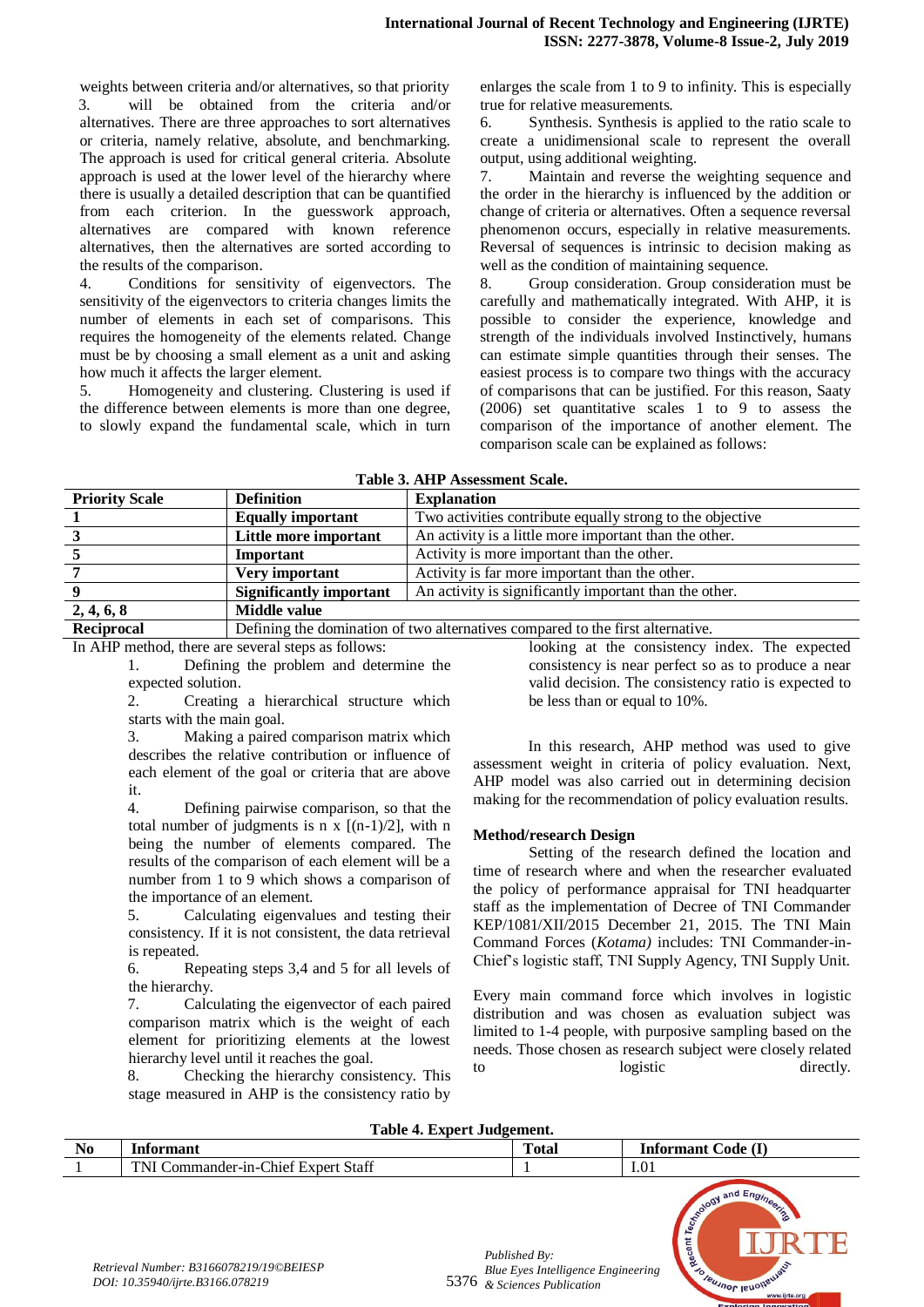weights between criteria and/or alternatives, so that priority 3. will be obtained from the criteria and/or alternatives. There are three approaches to sort alternatives or criteria, namely relative, absolute, and benchmarking. The approach is used for critical general criteria. Absolute approach is used at the lower level of the hierarchy where there is usually a detailed description that can be quantified from each criterion. In the guesswork approach, alternatives are compared with known reference alternatives, then the alternatives are sorted according to the results of the comparison.

4. Conditions for sensitivity of eigenvectors. The sensitivity of the eigenvectors to criteria changes limits the number of elements in each set of comparisons. This requires the homogeneity of the elements related. Change must be by choosing a small element as a unit and asking how much it affects the larger element.

5. Homogeneity and clustering. Clustering is used if the difference between elements is more than one degree, to slowly expand the fundamental scale, which in turn

enlarges the scale from 1 to 9 to infinity. This is especially true for relative measurements.

6. Synthesis. Synthesis is applied to the ratio scale to create a unidimensional scale to represent the overall output, using additional weighting.

7. Maintain and reverse the weighting sequence and the order in the hierarchy is influenced by the addition or change of criteria or alternatives. Often a sequence reversal phenomenon occurs, especially in relative measurements. Reversal of sequences is intrinsic to decision making as well as the condition of maintaining sequence.

8. Group consideration. Group consideration must be carefully and mathematically integrated. With AHP, it is possible to consider the experience, knowledge and strength of the individuals involved Instinctively, humans can estimate simple quantities through their senses. The easiest process is to compare two things with the accuracy of comparisons that can be justified. For this reason, Saaty (2006) set quantitative scales 1 to 9 to assess the comparison of the importance of another element. The comparison scale can be explained as follows:

| <b>Priority Scale</b> | <b>Definition</b>                                                                        | <b>Explanation</b>                                        |  |
|-----------------------|------------------------------------------------------------------------------------------|-----------------------------------------------------------|--|
|                       | <b>Equally important</b>                                                                 | Two activities contribute equally strong to the objective |  |
|                       | An activity is a little more important than the other.<br>Little more important          |                                                           |  |
|                       | Important                                                                                | Activity is more important than the other.                |  |
|                       | Very important                                                                           | Activity is far more important than the other.            |  |
|                       | An activity is significantly important than the other.<br><b>Significantly important</b> |                                                           |  |
| 2, 4, 6, 8            | Middle value                                                                             |                                                           |  |
| Reciprocal            | Defining the domination of two alternatives compared to the first alternative.           |                                                           |  |

In AHP method, there are several steps as follows: 1. Defining the problem and determine the expected solution.

2. Creating a hierarchical structure which starts with the main goal.

3. Making a paired comparison matrix which describes the relative contribution or influence of each element of the goal or criteria that are above it.

4. Defining pairwise comparison, so that the total number of judgments is n  $x$   $[(n-1)/2]$ , with n being the number of elements compared. The results of the comparison of each element will be a number from 1 to 9 which shows a comparison of the importance of an element.

5. Calculating eigenvalues and testing their consistency. If it is not consistent, the data retrieval is repeated.

6. Repeating steps 3,4 and 5 for all levels of the hierarchy.

7. Calculating the eigenvector of each paired comparison matrix which is the weight of each element for prioritizing elements at the lowest hierarchy level until it reaches the goal.

8. Checking the hierarchy consistency. This stage measured in AHP is the consistency ratio by looking at the consistency index. The expected consistency is near perfect so as to produce a near valid decision. The consistency ratio is expected to be less than or equal to 10%.

In this research, AHP method was used to give assessment weight in criteria of policy evaluation. Next, AHP model was also carried out in determining decision making for the recommendation of policy evaluation results.

## **Method/research Design**

Setting of the research defined the location and time of research where and when the researcher evaluated the policy of performance appraisal for TNI headquarter staff as the implementation of Decree of TNI Commander KEP/1081/XII/2015 December 21, 2015. The TNI Main Command Forces (*Kotama)* includes: TNI Commander-in-Chief's logistic staff, TNI Supply Agency, TNI Supply Unit.

Every main command force which involves in logistic distribution and was chosen as evaluation subject was limited to 1-4 people, with purposive sampling based on the needs. Those chosen as research subject were closely related to logistic directly.

#### **Table 4. Expert Judgement.**

| $\mathbf{v}$<br><b>TAN</b> | <b>Informant</b>                                            | m<br>`otal | (T)<br>ode<br>Informant |
|----------------------------|-------------------------------------------------------------|------------|-------------------------|
|                            | Expert Staff<br>Thier.<br><b>TNI</b><br>ຳກ_⊾<br>:ommander-1 |            | I.01                    |
|                            |                                                             |            |                         |



5376 *& Sciences Publication Published By: Blue Eyes Intelligence Engineering*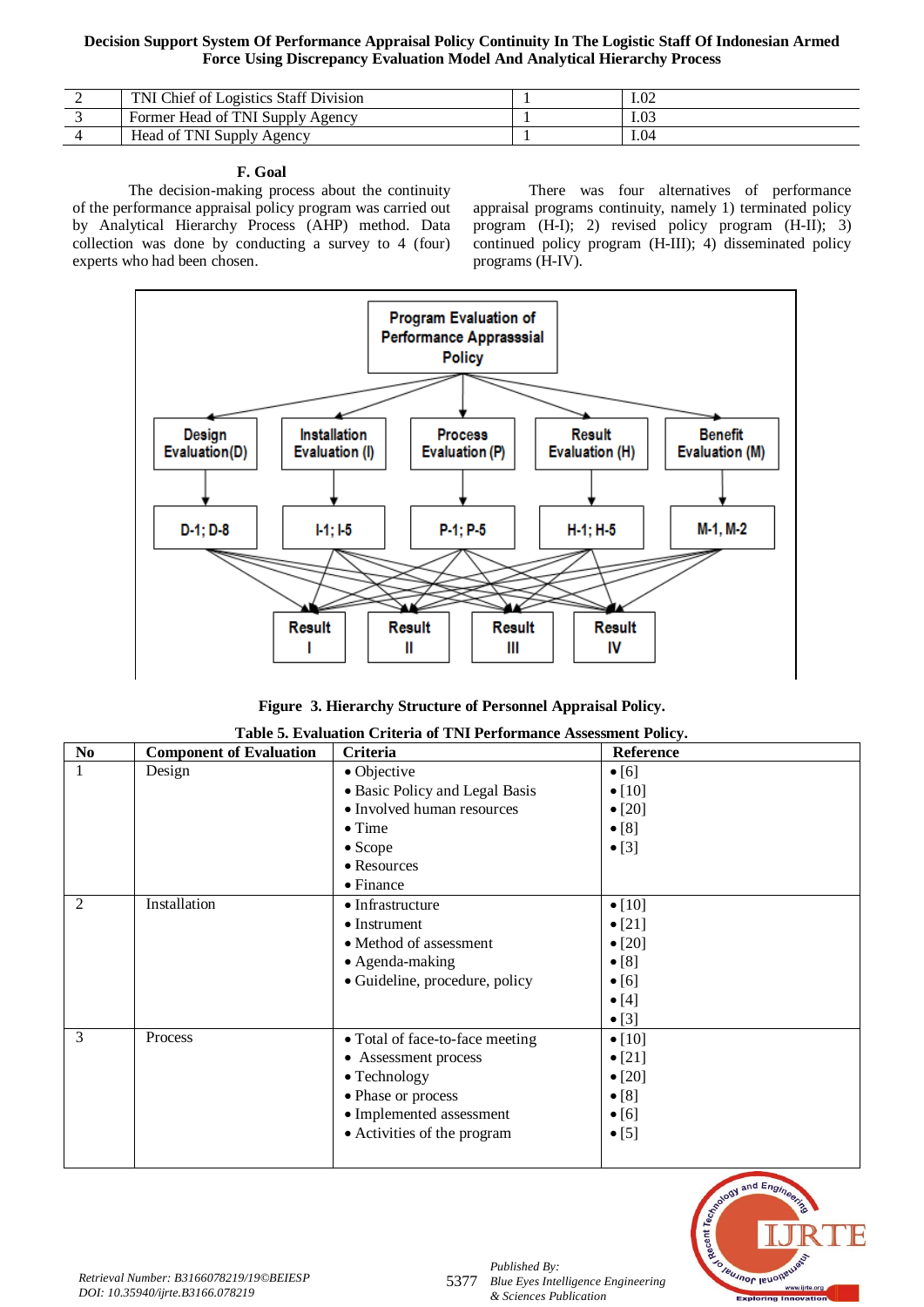| TNI Chief of Logistics Staff Division | I.O2 |
|---------------------------------------|------|
| Former Head of TNI Supply Agency      | 1.03 |
| Head of TNI Supply Agency             | 1.04 |

# **F. Goal**

The decision-making process about the continuity of the performance appraisal policy program was carried out by Analytical Hierarchy Process (AHP) method. Data collection was done by conducting a survey to 4 (four) experts who had been chosen.

There was four alternatives of performance appraisal programs continuity, namely 1) terminated policy program (H-I); 2) revised policy program (H-II); 3) continued policy program (H-III); 4) disseminated policy programs (H-IV).



| Figure 3. Hierarchy Structure of Personnel Appraisal Policy. |
|--------------------------------------------------------------|
|--------------------------------------------------------------|

| $\overline{\text{No}}$ | <b>Component of Evaluation</b> | <b>Criteria</b>                 | Reference      |
|------------------------|--------------------------------|---------------------------------|----------------|
| $\overline{1}$         | Design                         | • Objective                     | $\bullet$ [6]  |
|                        |                                | · Basic Policy and Legal Basis  | $\bullet$ [10] |
|                        |                                | • Involved human resources      | $\bullet$ [20] |
|                        |                                | $\bullet$ Time                  | $\bullet$ [8]  |
|                        |                                | $\bullet$ Scope                 | $\bullet$ [3]  |
|                        |                                | • Resources                     |                |
|                        |                                | $\bullet$ Finance               |                |
| $\overline{2}$         | Installation                   | $\bullet$ Infrastructure        | $\bullet$ [10] |
|                        |                                | $\bullet$ Instrument            | • $[21]$       |
|                        |                                | • Method of assessment          | $\bullet$ [20] |
|                        |                                | • Agenda-making                 | $\bullet$ [8]  |
|                        |                                | • Guideline, procedure, policy  | $\bullet$ [6]  |
|                        |                                |                                 | $\bullet$ [4]  |
|                        |                                |                                 | $\bullet$ [3]  |
| 3                      | Process                        | • Total of face-to-face meeting | $\bullet$ [10] |
|                        |                                | • Assessment process            | $\bullet$ [21] |
|                        |                                | $\bullet$ Technology            | $\bullet$ [20] |
|                        |                                | • Phase or process              | $\bullet$ [8]  |
|                        |                                | • Implemented assessment        | $\bullet$ [6]  |
|                        |                                | • Activities of the program     | $\bullet$ [5]  |
|                        |                                |                                 |                |

**Table 5. Evaluation Criteria of TNI Performance Assessment Policy.**

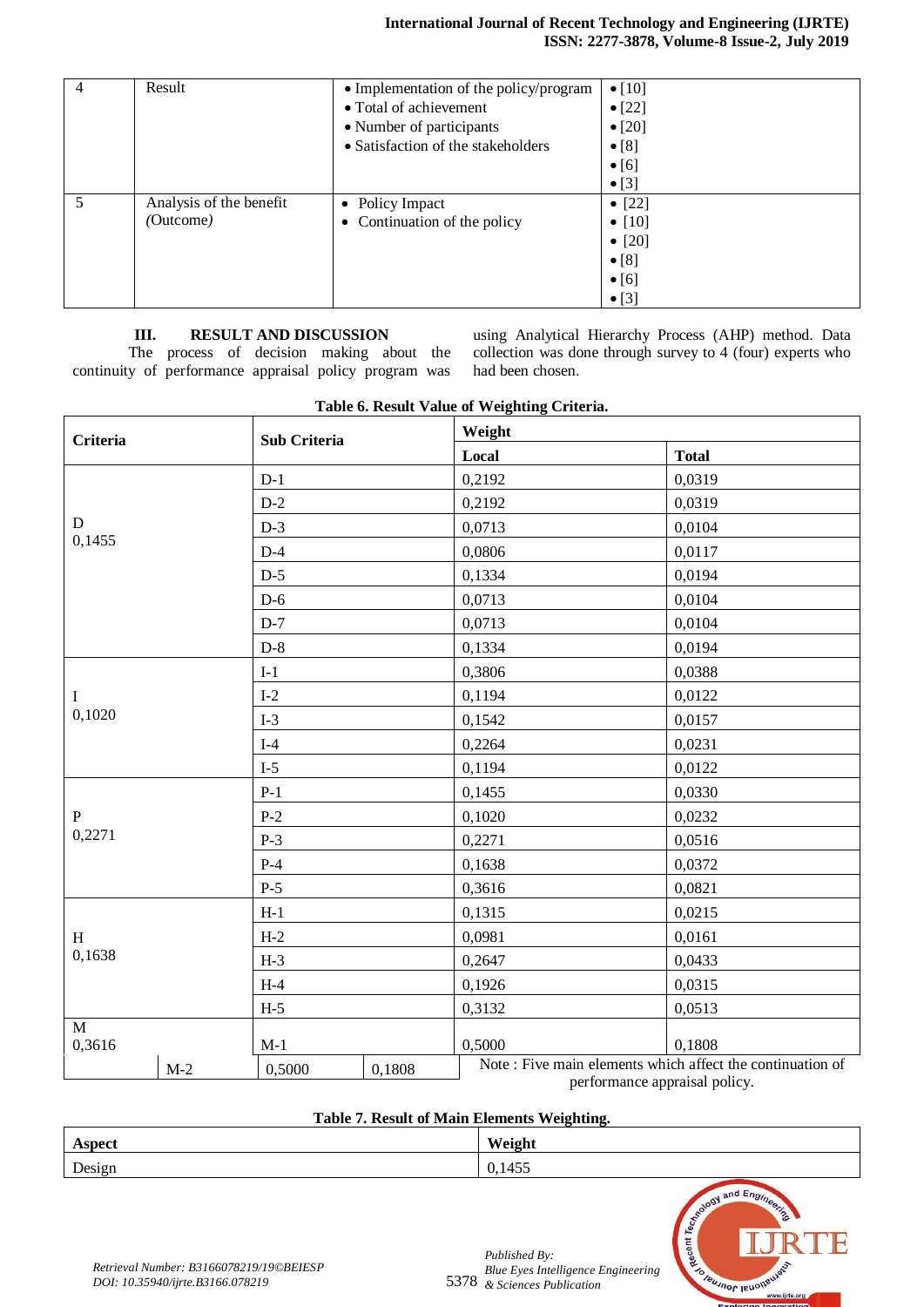| 4 | Result                  | • Implementation of the policy/program | $\bullet$ [10] |
|---|-------------------------|----------------------------------------|----------------|
|   |                         | • Total of achievement                 | $\bullet$ [22] |
|   |                         | • Number of participants               | $\bullet$ [20] |
|   |                         | • Satisfaction of the stakeholders     | $\bullet$ [8]  |
|   |                         |                                        | $\bullet$ [6]  |
|   |                         |                                        | $\bullet$ [3]  |
|   | Analysis of the benefit | • Policy Impact                        | • $[22]$       |
|   | (Outcome)               | • Continuation of the policy           | • $[10]$       |
|   |                         |                                        | • $[20]$       |
|   |                         |                                        | $\bullet$ [8]  |
|   |                         |                                        | $\bullet$ [6]  |
|   |                         |                                        | $\bullet$ [3]  |

# **III. RESULT AND DISCUSSION**

The process of decision making about the continuity of performance appraisal policy program was

using Analytical Hierarchy Process (AHP) method. Data collection was done through survey to 4 (four) experts who had been chosen.

| Table 0. Result value of vverghting Criteria. |       |                     |        |        |                                                                     |
|-----------------------------------------------|-------|---------------------|--------|--------|---------------------------------------------------------------------|
| <b>Criteria</b>                               |       | <b>Sub Criteria</b> |        | Weight |                                                                     |
|                                               |       |                     |        | Local  | <b>Total</b>                                                        |
|                                               |       | $D-1$               |        | 0,2192 | 0,0319                                                              |
|                                               |       | $D-2$               |        | 0,2192 | 0,0319                                                              |
| $\mathbf D$                                   |       | $D-3$               |        | 0,0713 | 0,0104                                                              |
| 0,1455                                        |       | $D-4$               |        | 0,0806 | 0,0117                                                              |
|                                               |       | $D-5$               |        | 0,1334 | 0,0194                                                              |
|                                               |       | $D-6$               |        | 0,0713 | 0,0104                                                              |
|                                               |       | $D-7$               |        | 0,0713 | 0,0104                                                              |
|                                               |       | $D-8$               |        | 0,1334 | 0,0194                                                              |
|                                               |       | $I-1$               |        | 0,3806 | 0,0388                                                              |
| $\bf{I}$                                      |       | $I-2$               |        | 0,1194 | 0,0122                                                              |
| 0,1020                                        |       | $I-3$               |        | 0,1542 | 0,0157                                                              |
|                                               |       | $I-4$               |        | 0,2264 | 0,0231                                                              |
|                                               |       | $I-5$               |        | 0,1194 | 0,0122                                                              |
|                                               |       | $P-1$               |        | 0,1455 | 0,0330                                                              |
| ${\bf P}$                                     |       | $P-2$               |        | 0,1020 | 0,0232                                                              |
| 0,2271                                        |       | $P-3$               |        | 0,2271 | 0,0516                                                              |
|                                               |       | $P-4$               |        | 0,1638 | 0,0372                                                              |
|                                               |       | $P-5$               |        | 0,3616 | 0,0821                                                              |
|                                               |       | $H-1$               |        | 0,1315 | 0,0215                                                              |
| H                                             |       | $H-2$               |        | 0,0981 | 0,0161                                                              |
| 0,1638                                        |       | $H-3$               |        | 0,2647 | 0,0433                                                              |
|                                               |       | $H-4$               |        | 0,1926 | 0,0315                                                              |
|                                               |       | $H-5$               |        | 0,3132 | 0,0513                                                              |
| M                                             |       |                     |        |        |                                                                     |
| 0,3616                                        |       | $M-1$               |        | 0,5000 | 0,1808<br>Note: Five main elements which affect the continuation of |
|                                               | $M-2$ | 0,5000              | 0,1808 |        | nerformance appraisal policy                                        |

# **Table 6. Result Value of Weighting Criteria.**

performance appraisal policy.

# **Table 7. Result of Main Elements Weighting.**

| Aspect | Weight |
|--------|--------|
| Design | 0,1455 |

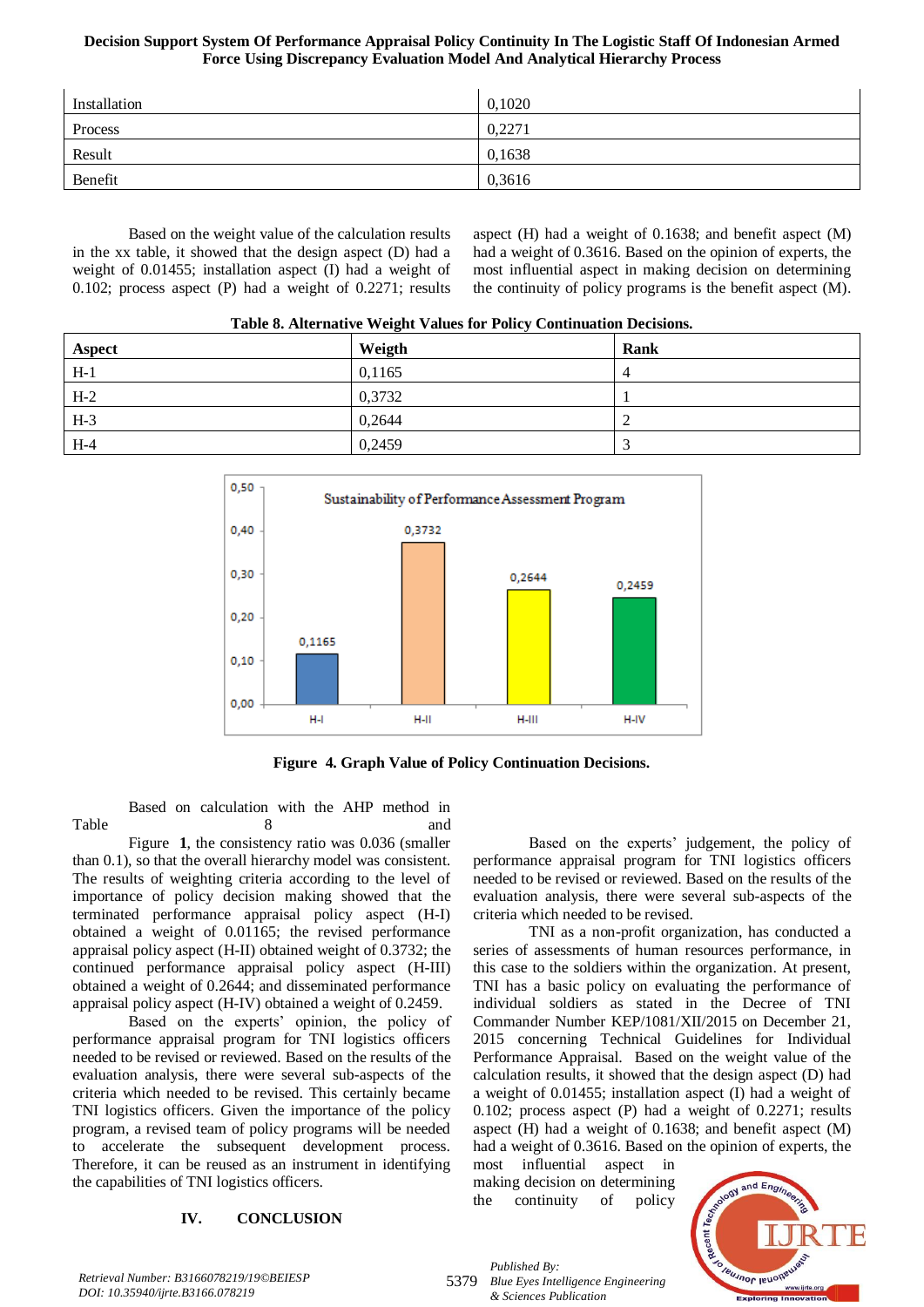| Installation | 0,1020 |
|--------------|--------|
| Process      | 0,2271 |
| Result       | 0,1638 |
| Benefit      | 0,3616 |

Based on the weight value of the calculation results in the xx table, it showed that the design aspect (D) had a weight of 0.01455; installation aspect (I) had a weight of 0.102; process aspect (P) had a weight of 0.2271; results

aspect (H) had a weight of 0.1638; and benefit aspect (M) had a weight of 0.3616. Based on the opinion of experts, the most influential aspect in making decision on determining the continuity of policy programs is the benefit aspect (M).

<span id="page-7-0"></span>

| <b>Aspect</b> | Weigth | Rank |  |
|---------------|--------|------|--|
| $H-1$         | 0,1165 | 4    |  |
| $H-2$         | 0,3732 |      |  |
| $H-3$         | 0.2644 |      |  |
| $H-4$         | 0,2459 |      |  |



**Figure 4. Graph Value of Policy Continuation Decisions.**

Based on calculation with the AHP method in [Table 8](#page-7-0) and and 8 and and 1

Figure **1**, the consistency ratio was 0.036 (smaller than 0.1), so that the overall hierarchy model was consistent. The results of weighting criteria according to the level of importance of policy decision making showed that the terminated performance appraisal policy aspect (H-I) obtained a weight of 0.01165; the revised performance appraisal policy aspect (H-II) obtained weight of 0.3732; the continued performance appraisal policy aspect (H-III) obtained a weight of 0.2644; and disseminated performance appraisal policy aspect (H-IV) obtained a weight of 0.2459.

Based on the experts' opinion, the policy of performance appraisal program for TNI logistics officers needed to be revised or reviewed. Based on the results of the evaluation analysis, there were several sub-aspects of the criteria which needed to be revised. This certainly became TNI logistics officers. Given the importance of the policy program, a revised team of policy programs will be needed to accelerate the subsequent development process. Therefore, it can be reused as an instrument in identifying the capabilities of TNI logistics officers.

# **IV. CONCLUSION**

Based on the experts' judgement, the policy of performance appraisal program for TNI logistics officers needed to be revised or reviewed. Based on the results of the evaluation analysis, there were several sub-aspects of the criteria which needed to be revised.

TNI as a non-profit organization, has conducted a series of assessments of human resources performance, in this case to the soldiers within the organization. At present, TNI has a basic policy on evaluating the performance of individual soldiers as stated in the Decree of TNI Commander Number KEP/1081/XII/2015 on December 21, 2015 concerning Technical Guidelines for Individual Performance Appraisal. Based on the weight value of the calculation results, it showed that the design aspect (D) had a weight of 0.01455; installation aspect (I) had a weight of 0.102; process aspect (P) had a weight of 0.2271; results aspect (H) had a weight of 0.1638; and benefit aspect (M) had a weight of 0.3616. Based on the opinion of experts, the

most influential aspect in making decision on determining the continuity of policy



*Retrieval Number: B3166078219/19©BEIESP DOI: 10.35940/ijrte.B3166.078219*

5379

*Published By: Blue Eyes Intelligence Engineering & Sciences Publication*